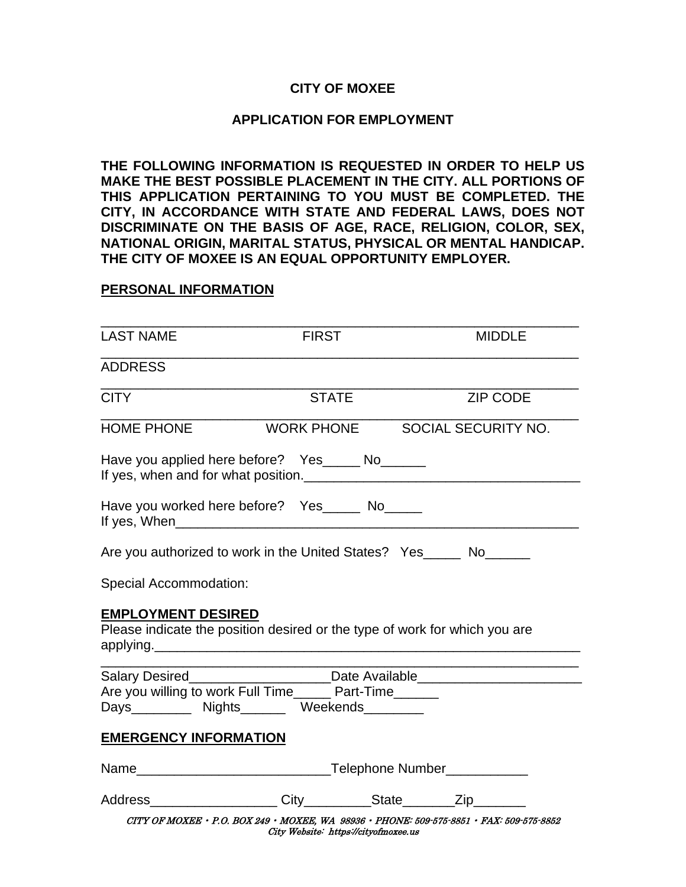## **CITY OF MOXEE**

## **APPLICATION FOR EMPLOYMENT**

**THE FOLLOWING INFORMATION IS REQUESTED IN ORDER TO HELP US MAKE THE BEST POSSIBLE PLACEMENT IN THE CITY. ALL PORTIONS OF THIS APPLICATION PERTAINING TO YOU MUST BE COMPLETED. THE CITY, IN ACCORDANCE WITH STATE AND FEDERAL LAWS, DOES NOT DISCRIMINATE ON THE BASIS OF AGE, RACE, RELIGION, COLOR, SEX, NATIONAL ORIGIN, MARITAL STATUS, PHYSICAL OR MENTAL HANDICAP. THE CITY OF MOXEE IS AN EQUAL OPPORTUNITY EMPLOYER.**

## **PERSONAL INFORMATION**

| <b>LAST NAME</b>                                                                                          | <b>FIRST</b> |                                |
|-----------------------------------------------------------------------------------------------------------|--------------|--------------------------------|
|                                                                                                           |              | <b>MIDDLE</b>                  |
| <b>ADDRESS</b>                                                                                            |              |                                |
| <b>CITY</b>                                                                                               | <b>STATE</b> | <b>ZIP CODE</b>                |
| <b>HOME PHONE</b>                                                                                         |              | WORK PHONE SOCIAL SECURITY NO. |
| Have you applied here before? Yes_____ No______                                                           |              |                                |
| Have you worked here before? Yes _______ No______                                                         |              |                                |
| Are you authorized to work in the United States? Yes_____ No______                                        |              |                                |
| Special Accommodation:                                                                                    |              |                                |
| <b>EMPLOYMENT DESIRED</b><br>Please indicate the position desired or the type of work for which you are   |              |                                |
| Salary Desired________________________Date Available____________________________                          |              |                                |
| Are you willing to work Full Time______ Part-Time______<br>Days__________ Nights________ Weekends________ |              |                                |
| <b>EMERGENCY INFORMATION</b>                                                                              |              |                                |
|                                                                                                           |              |                                |
| Address____________________City__________State________Zip_________                                        |              |                                |
|                                                                                                           |              |                                |

CITY OF MOXEE • P.O. BOX 249 • MOXEE, WA 98936 • PHONE: 509-575-8851 • FAX: 509-575-8852 City Website: https://cityofmoxee.us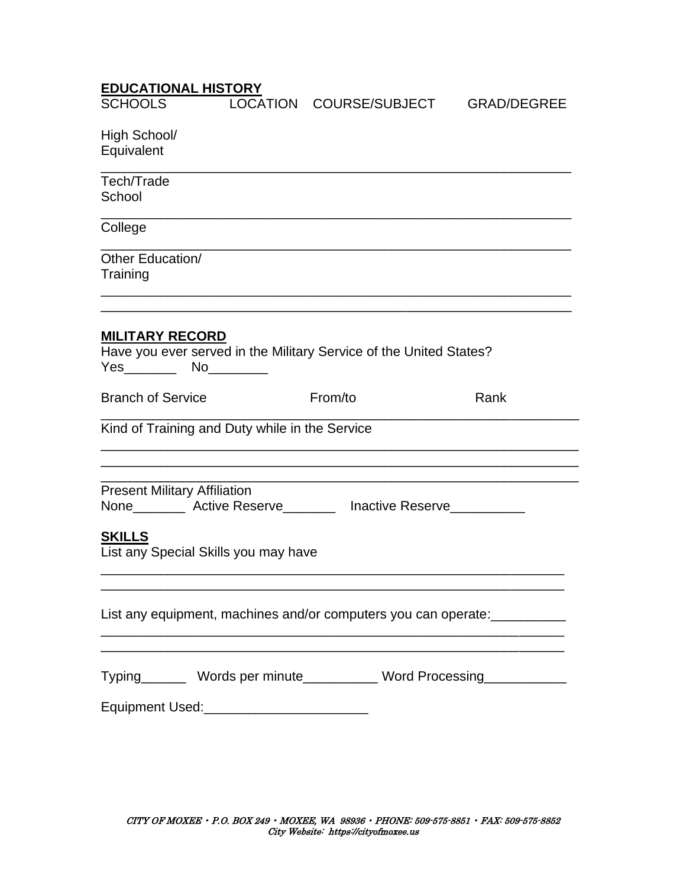| <u>LUUUN HUINAL HIUTUIVIT</u><br><b>SCHOOLS</b> |                                                | LOCATION COURSE/SUBJECT                                             | <b>GRAD/DEGREE</b>                                                        |
|-------------------------------------------------|------------------------------------------------|---------------------------------------------------------------------|---------------------------------------------------------------------------|
|                                                 |                                                |                                                                     |                                                                           |
| High School/                                    |                                                |                                                                     |                                                                           |
| Equivalent                                      |                                                |                                                                     |                                                                           |
|                                                 |                                                |                                                                     |                                                                           |
| Tech/Trade                                      |                                                |                                                                     |                                                                           |
| School                                          |                                                |                                                                     |                                                                           |
| College                                         |                                                |                                                                     |                                                                           |
|                                                 |                                                |                                                                     |                                                                           |
| Other Education/                                |                                                |                                                                     |                                                                           |
| Training                                        |                                                |                                                                     |                                                                           |
|                                                 |                                                |                                                                     |                                                                           |
|                                                 |                                                |                                                                     |                                                                           |
| <b>MILITARY RECORD</b>                          |                                                |                                                                     |                                                                           |
|                                                 |                                                | Have you ever served in the Military Service of the United States?  |                                                                           |
|                                                 |                                                |                                                                     |                                                                           |
|                                                 |                                                |                                                                     |                                                                           |
| <b>Branch of Service</b>                        |                                                | From/to                                                             | Rank                                                                      |
|                                                 | Kind of Training and Duty while in the Service |                                                                     |                                                                           |
| <b>Present Military Affiliation</b>             |                                                |                                                                     |                                                                           |
|                                                 |                                                | None__________ Active Reserve_________ Inactive Reserve____________ |                                                                           |
|                                                 |                                                |                                                                     |                                                                           |
| <b>SKILLS</b>                                   |                                                |                                                                     |                                                                           |
|                                                 | List any Special Skills you may have           |                                                                     |                                                                           |
|                                                 |                                                |                                                                     |                                                                           |
|                                                 |                                                |                                                                     | List any equipment, machines and/or computers you can operate: __________ |
|                                                 |                                                |                                                                     |                                                                           |
|                                                 |                                                |                                                                     |                                                                           |
|                                                 |                                                |                                                                     | Typing_________ Words per minute____________ Word Processing_____________ |
|                                                 |                                                |                                                                     |                                                                           |
|                                                 | Equipment Used: __________________________     |                                                                     |                                                                           |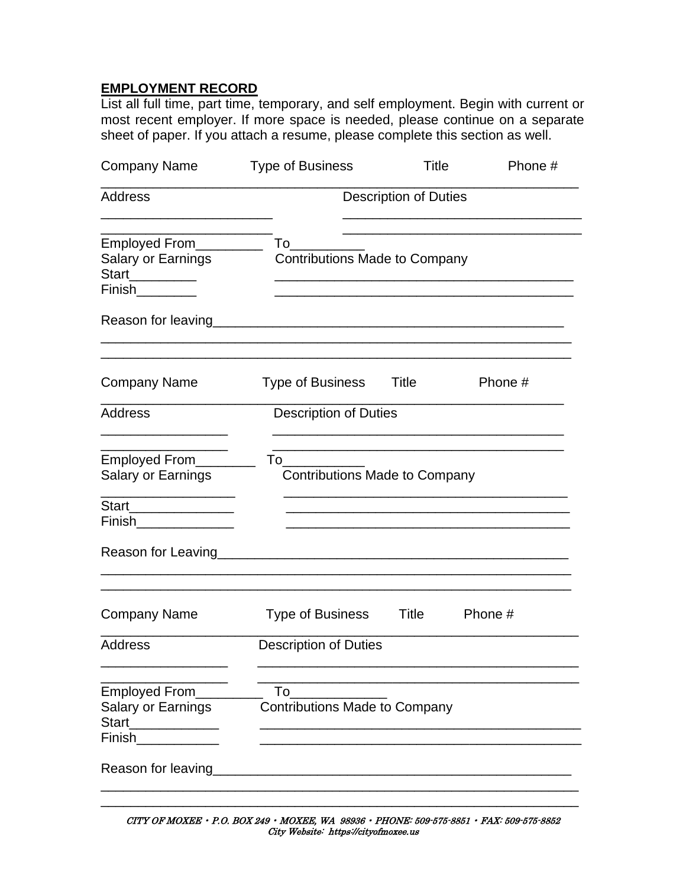## **EMPLOYMENT RECORD**

List all full time, part time, temporary, and self employment. Begin with current or most recent employer. If more space is needed, please continue on a separate sheet of paper. If you attach a resume, please complete this section as well.

| <b>Company Name</b>                                                        | <b>Type of Business</b>                    | Title                        | Phone # |
|----------------------------------------------------------------------------|--------------------------------------------|------------------------------|---------|
| Address                                                                    |                                            | <b>Description of Duties</b> |         |
| Employed From__________<br>Salary or Earnings<br>Start_________            | To<br><b>Contributions Made to Company</b> |                              |         |
| Finish_________                                                            |                                            |                              |         |
| Reason for leaving                                                         |                                            |                              |         |
| <b>Company Name</b>                                                        | Type of Business                           | Title                        | Phone # |
| <b>Address</b>                                                             | <b>Description of Duties</b>               |                              |         |
| Employed From______<br>Salary or Earnings                                  | To<br><b>Contributions Made to Company</b> |                              |         |
| Start_______________<br>Finish______________                               |                                            |                              |         |
| Reason for Leaving                                                         |                                            |                              |         |
| <b>Company Name</b>                                                        | Type of Business                           | Title                        | Phone # |
| Address                                                                    | <b>Description of Duties</b>               |                              |         |
| Employed From<br><b>Salary or Earnings</b><br>Start<br>Finish_____________ | To<br><b>Contributions Made to Company</b> |                              |         |
| Reason for leaving                                                         |                                            |                              |         |

CITY OF MOXEE • P.O. BOX 249 • MOXEE, WA 98936 • PHONE: 509-575-8851 • FAX: 509-575-8852 City Website: https://cityofmoxee.us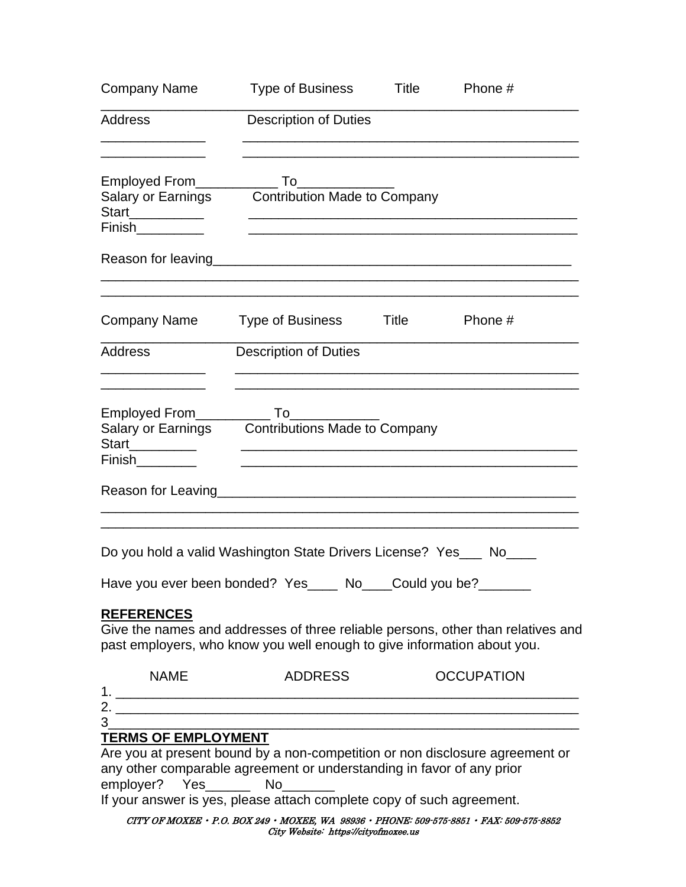| <b>Company Name</b>                                                        | Type of Business                                                                                                                               | Title | Phone #                                                                                                                                              |
|----------------------------------------------------------------------------|------------------------------------------------------------------------------------------------------------------------------------------------|-------|------------------------------------------------------------------------------------------------------------------------------------------------------|
| Address                                                                    | <b>Description of Duties</b>                                                                                                                   |       |                                                                                                                                                      |
| Start___________<br>Finish__________                                       | Salary or Earnings Contribution Made to Company                                                                                                |       |                                                                                                                                                      |
|                                                                            |                                                                                                                                                |       |                                                                                                                                                      |
|                                                                            | Company Name Type of Business Title                                                                                                            |       | Phone #                                                                                                                                              |
| Address                                                                    | <b>Description of Duties</b>                                                                                                                   |       |                                                                                                                                                      |
| Start_________<br>Finish <u>____</u>                                       | Salary or Earnings Contributions Made to Company                                                                                               |       |                                                                                                                                                      |
|                                                                            | Do you hold a valid Washington State Drivers License? Yes___ No____                                                                            |       |                                                                                                                                                      |
| <b>REFERENCES</b>                                                          | Have you ever been bonded? Yes____ No___Could you be?_____<br>past employers, who know you well enough to give information about you.          |       | Give the names and addresses of three reliable persons, other than relatives and                                                                     |
| <b>NAME</b>                                                                | <b>ADDRESS</b>                                                                                                                                 |       | <b>OCCUPATION</b>                                                                                                                                    |
| 3 <sup>1</sup><br><b>TERMS OF EMPLOYMENT</b><br>employer? Yes_______ No___ | any other comparable agreement or understanding in favor of any prior<br>If your answer is yes, please attach complete copy of such agreement. |       | <u> 1980 - Johann Barn, mars an t-Amerikaansk politiker (* 1908)</u><br>Are you at present bound by a non-competition or non disclosure agreement or |

CITY OF MOXEE • P.O. BOX 249 • MOXEE, WA 98936 • PHONE: 509-575-8851 • FAX: 509-575-8852 City Website: https://cityofmoxee.us